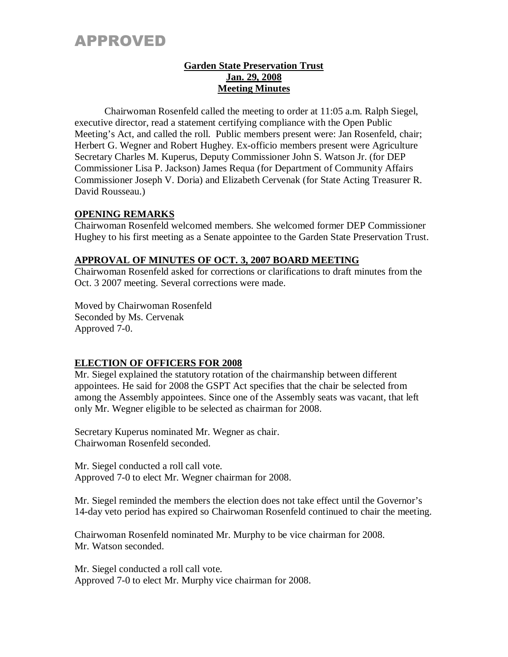# APPROVED

### **Garden State Preservation Trust Jan. 29, 2008 Meeting Minutes**

Chairwoman Rosenfeld called the meeting to order at 11:05 a.m. Ralph Siegel, executive director, read a statement certifying compliance with the Open Public Meeting's Act, and called the roll. Public members present were: Jan Rosenfeld, chair; Herbert G. Wegner and Robert Hughey. Ex-officio members present were Agriculture Secretary Charles M. Kuperus, Deputy Commissioner John S. Watson Jr. (for DEP Commissioner Lisa P. Jackson) James Requa (for Department of Community Affairs Commissioner Joseph V. Doria) and Elizabeth Cervenak (for State Acting Treasurer R. David Rousseau.)

### **OPENING REMARKS**

Chairwoman Rosenfeld welcomed members. She welcomed former DEP Commissioner Hughey to his first meeting as a Senate appointee to the Garden State Preservation Trust.

### **APPROVAL OF MINUTES OF OCT. 3, 2007 BOARD MEETING**

Chairwoman Rosenfeld asked for corrections or clarifications to draft minutes from the Oct. 3 2007 meeting. Several corrections were made.

Moved by Chairwoman Rosenfeld Seconded by Ms. Cervenak Approved 7-0.

### **ELECTION OF OFFICERS FOR 2008**

Mr. Siegel explained the statutory rotation of the chairmanship between different appointees. He said for 2008 the GSPT Act specifies that the chair be selected from among the Assembly appointees. Since one of the Assembly seats was vacant, that left only Mr. Wegner eligible to be selected as chairman for 2008.

Secretary Kuperus nominated Mr. Wegner as chair. Chairwoman Rosenfeld seconded.

Mr. Siegel conducted a roll call vote. Approved 7-0 to elect Mr. Wegner chairman for 2008.

Mr. Siegel reminded the members the election does not take effect until the Governor's 14-day veto period has expired so Chairwoman Rosenfeld continued to chair the meeting.

Chairwoman Rosenfeld nominated Mr. Murphy to be vice chairman for 2008. Mr. Watson seconded.

Mr. Siegel conducted a roll call vote. Approved 7-0 to elect Mr. Murphy vice chairman for 2008.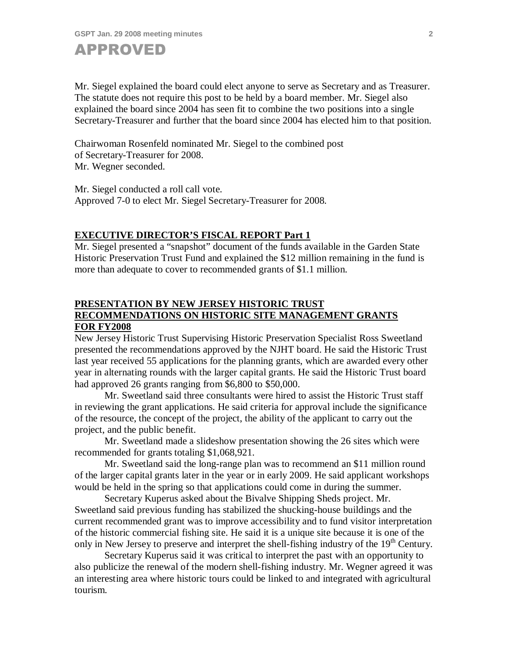

Mr. Siegel explained the board could elect anyone to serve as Secretary and as Treasurer. The statute does not require this post to be held by a board member. Mr. Siegel also explained the board since 2004 has seen fit to combine the two positions into a single Secretary-Treasurer and further that the board since 2004 has elected him to that position.

Chairwoman Rosenfeld nominated Mr. Siegel to the combined post of Secretary-Treasurer for 2008. Mr. Wegner seconded.

Mr. Siegel conducted a roll call vote. Approved 7-0 to elect Mr. Siegel Secretary-Treasurer for 2008.

### **EXECUTIVE DIRECTOR'S FISCAL REPORT Part 1**

Mr. Siegel presented a "snapshot" document of the funds available in the Garden State Historic Preservation Trust Fund and explained the \$12 million remaining in the fund is more than adequate to cover to recommended grants of \$1.1 million.

### **PRESENTATION BY NEW JERSEY HISTORIC TRUST RECOMMENDATIONS ON HISTORIC SITE MANAGEMENT GRANTS FOR FY2008**

New Jersey Historic Trust Supervising Historic Preservation Specialist Ross Sweetland presented the recommendations approved by the NJHT board. He said the Historic Trust last year received 55 applications for the planning grants, which are awarded every other year in alternating rounds with the larger capital grants. He said the Historic Trust board had approved 26 grants ranging from \$6,800 to \$50,000.

Mr. Sweetland said three consultants were hired to assist the Historic Trust staff in reviewing the grant applications. He said criteria for approval include the significance of the resource, the concept of the project, the ability of the applicant to carry out the project, and the public benefit.

Mr. Sweetland made a slideshow presentation showing the 26 sites which were recommended for grants totaling \$1,068,921.

Mr. Sweetland said the long-range plan was to recommend an \$11 million round of the larger capital grants later in the year or in early 2009. He said applicant workshops would be held in the spring so that applications could come in during the summer.

Secretary Kuperus asked about the Bivalve Shipping Sheds project. Mr. Sweetland said previous funding has stabilized the shucking-house buildings and the current recommended grant was to improve accessibility and to fund visitor interpretation of the historic commercial fishing site. He said it is a unique site because it is one of the only in New Jersey to preserve and interpret the shell-fishing industry of the  $19<sup>th</sup>$  Century.

Secretary Kuperus said it was critical to interpret the past with an opportunity to also publicize the renewal of the modern shell-fishing industry. Mr. Wegner agreed it was an interesting area where historic tours could be linked to and integrated with agricultural tourism.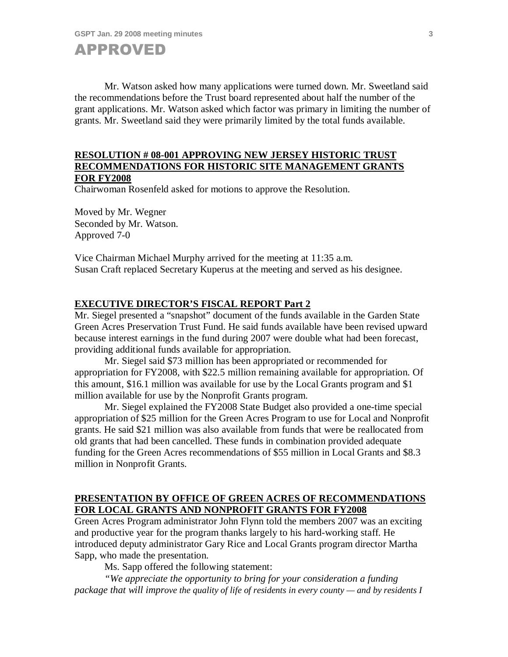

Mr. Watson asked how many applications were turned down. Mr. Sweetland said the recommendations before the Trust board represented about half the number of the grant applications. Mr. Watson asked which factor was primary in limiting the number of grants. Mr. Sweetland said they were primarily limited by the total funds available.

### **RESOLUTION # 08-001 APPROVING NEW JERSEY HISTORIC TRUST RECOMMENDATIONS FOR HISTORIC SITE MANAGEMENT GRANTS FOR FY2008**

Chairwoman Rosenfeld asked for motions to approve the Resolution.

Moved by Mr. Wegner Seconded by Mr. Watson. Approved 7-0

Vice Chairman Michael Murphy arrived for the meeting at 11:35 a.m. Susan Craft replaced Secretary Kuperus at the meeting and served as his designee.

### **EXECUTIVE DIRECTOR'S FISCAL REPORT Part 2**

Mr. Siegel presented a "snapshot" document of the funds available in the Garden State Green Acres Preservation Trust Fund. He said funds available have been revised upward because interest earnings in the fund during 2007 were double what had been forecast, providing additional funds available for appropriation.

Mr. Siegel said \$73 million has been appropriated or recommended for appropriation for FY2008, with \$22.5 million remaining available for appropriation. Of this amount, \$16.1 million was available for use by the Local Grants program and \$1 million available for use by the Nonprofit Grants program.

Mr. Siegel explained the FY2008 State Budget also provided a one-time special appropriation of \$25 million for the Green Acres Program to use for Local and Nonprofit grants. He said \$21 million was also available from funds that were be reallocated from old grants that had been cancelled. These funds in combination provided adequate funding for the Green Acres recommendations of \$55 million in Local Grants and \$8.3 million in Nonprofit Grants.

### **PRESENTATION BY OFFICE OF GREEN ACRES OF RECOMMENDATIONS FOR LOCAL GRANTS AND NONPROFIT GRANTS FOR FY2008**

Green Acres Program administrator John Flynn told the members 2007 was an exciting and productive year for the program thanks largely to his hard-working staff. He introduced deputy administrator Gary Rice and Local Grants program director Martha Sapp, who made the presentation.

Ms. Sapp offered the following statement:

*"We appreciate the opportunity to bring for your consideration a funding package that will improve the quality of life of residents in every county — and by residents I*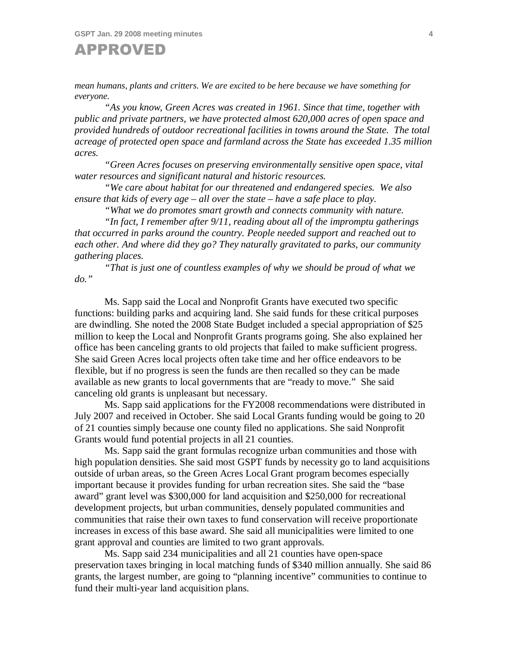**GSPT Jan. 29 2008 meeting minutes 4**



*mean humans, plants and critters. We are excited to be here because we have something for everyone.*

*"As you know, Green Acres was created in 1961. Since that time, together with public and private partners, we have protected almost 620,000 acres of open space and provided hundreds of outdoor recreational facilities in towns around the State. The total acreage of protected open space and farmland across the State has exceeded 1.35 million acres.*

*"Green Acres focuses on preserving environmentally sensitive open space, vital water resources and significant natural and historic resources.* 

*"We care about habitat for our threatened and endangered species. We also ensure that kids of every age – all over the state – have a safe place to play.* 

*"What we do promotes smart growth and connects community with nature.* 

*"In fact, I remember after 9/11, reading about all of the impromptu gatherings that occurred in parks around the country. People needed support and reached out to each other. And where did they go? They naturally gravitated to parks, our community gathering places.* 

*"That is just one of countless examples of why we should be proud of what we do."*

Ms. Sapp said the Local and Nonprofit Grants have executed two specific functions: building parks and acquiring land. She said funds for these critical purposes are dwindling. She noted the 2008 State Budget included a special appropriation of \$25 million to keep the Local and Nonprofit Grants programs going. She also explained her office has been canceling grants to old projects that failed to make sufficient progress. She said Green Acres local projects often take time and her office endeavors to be flexible, but if no progress is seen the funds are then recalled so they can be made available as new grants to local governments that are "ready to move." She said canceling old grants is unpleasant but necessary.

Ms. Sapp said applications for the FY2008 recommendations were distributed in July 2007 and received in October. She said Local Grants funding would be going to 20 of 21 counties simply because one county filed no applications. She said Nonprofit Grants would fund potential projects in all 21 counties.

Ms. Sapp said the grant formulas recognize urban communities and those with high population densities. She said most GSPT funds by necessity go to land acquisitions outside of urban areas, so the Green Acres Local Grant program becomes especially important because it provides funding for urban recreation sites. She said the "base award" grant level was \$300,000 for land acquisition and \$250,000 for recreational development projects, but urban communities, densely populated communities and communities that raise their own taxes to fund conservation will receive proportionate increases in excess of this base award. She said all municipalities were limited to one grant approval and counties are limited to two grant approvals.

Ms. Sapp said 234 municipalities and all 21 counties have open-space preservation taxes bringing in local matching funds of \$340 million annually. She said 86 grants, the largest number, are going to "planning incentive" communities to continue to fund their multi-year land acquisition plans.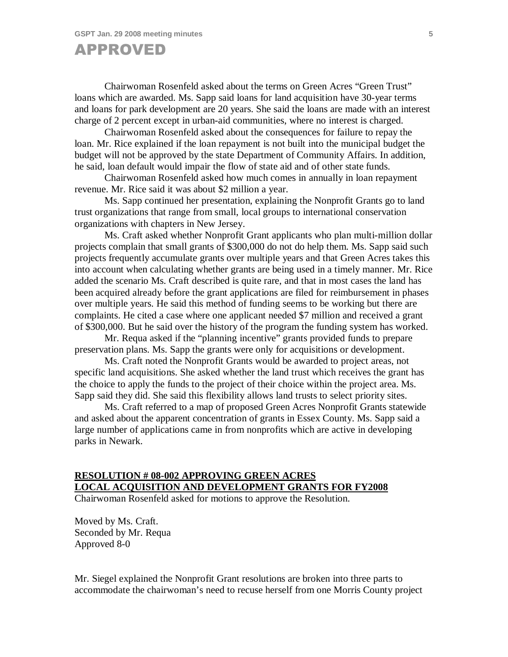## APPROVED

Chairwoman Rosenfeld asked about the terms on Green Acres "Green Trust" loans which are awarded. Ms. Sapp said loans for land acquisition have 30-year terms and loans for park development are 20 years. She said the loans are made with an interest charge of 2 percent except in urban-aid communities, where no interest is charged.

Chairwoman Rosenfeld asked about the consequences for failure to repay the loan. Mr. Rice explained if the loan repayment is not built into the municipal budget the budget will not be approved by the state Department of Community Affairs. In addition, he said, loan default would impair the flow of state aid and of other state funds.

Chairwoman Rosenfeld asked how much comes in annually in loan repayment revenue. Mr. Rice said it was about \$2 million a year.

Ms. Sapp continued her presentation, explaining the Nonprofit Grants go to land trust organizations that range from small, local groups to international conservation organizations with chapters in New Jersey.

Ms. Craft asked whether Nonprofit Grant applicants who plan multi-million dollar projects complain that small grants of \$300,000 do not do help them. Ms. Sapp said such projects frequently accumulate grants over multiple years and that Green Acres takes this into account when calculating whether grants are being used in a timely manner. Mr. Rice added the scenario Ms. Craft described is quite rare, and that in most cases the land has been acquired already before the grant applications are filed for reimbursement in phases over multiple years. He said this method of funding seems to be working but there are complaints. He cited a case where one applicant needed \$7 million and received a grant of \$300,000. But he said over the history of the program the funding system has worked.

Mr. Requa asked if the "planning incentive" grants provided funds to prepare preservation plans. Ms. Sapp the grants were only for acquisitions or development.

Ms. Craft noted the Nonprofit Grants would be awarded to project areas, not specific land acquisitions. She asked whether the land trust which receives the grant has the choice to apply the funds to the project of their choice within the project area. Ms. Sapp said they did. She said this flexibility allows land trusts to select priority sites.

Ms. Craft referred to a map of proposed Green Acres Nonprofit Grants statewide and asked about the apparent concentration of grants in Essex County. Ms. Sapp said a large number of applications came in from nonprofits which are active in developing parks in Newark.

### **RESOLUTION # 08-002 APPROVING GREEN ACRES LOCAL ACQUISITION AND DEVELOPMENT GRANTS FOR FY2008**

Chairwoman Rosenfeld asked for motions to approve the Resolution.

Moved by Ms. Craft. Seconded by Mr. Requa Approved 8-0

Mr. Siegel explained the Nonprofit Grant resolutions are broken into three parts to accommodate the chairwoman's need to recuse herself from one Morris County project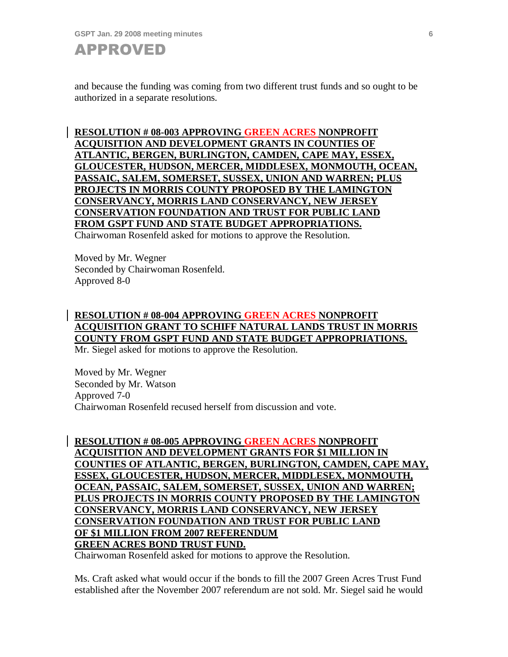

and because the funding was coming from two different trust funds and so ought to be authorized in a separate resolutions.

**RESOLUTION # 08-003 APPROVING GREEN ACRES NONPROFIT ACQUISITION AND DEVELOPMENT GRANTS IN COUNTIES OF ATLANTIC, BERGEN, BURLINGTON, CAMDEN, CAPE MAY, ESSEX, GLOUCESTER, HUDSON, MERCER, MIDDLESEX, MONMOUTH, OCEAN, PASSAIC, SALEM, SOMERSET, SUSSEX, UNION AND WARREN; PLUS PROJECTS IN MORRIS COUNTY PROPOSED BY THE LAMINGTON CONSERVANCY, MORRIS LAND CONSERVANCY, NEW JERSEY CONSERVATION FOUNDATION AND TRUST FOR PUBLIC LAND FROM GSPT FUND AND STATE BUDGET APPROPRIATIONS.**

Chairwoman Rosenfeld asked for motions to approve the Resolution.

Moved by Mr. Wegner Seconded by Chairwoman Rosenfeld. Approved 8-0

### **RESOLUTION # 08-004 APPROVING GREEN ACRES NONPROFIT ACQUISITION GRANT TO SCHIFF NATURAL LANDS TRUST IN MORRIS COUNTY FROM GSPT FUND AND STATE BUDGET APPROPRIATIONS.**

Mr. Siegel asked for motions to approve the Resolution.

Moved by Mr. Wegner Seconded by Mr. Watson Approved 7-0 Chairwoman Rosenfeld recused herself from discussion and vote.

### **RESOLUTION # 08-005 APPROVING GREEN ACRES NONPROFIT ACQUISITION AND DEVELOPMENT GRANTS FOR \$1 MILLION IN COUNTIES OF ATLANTIC, BERGEN, BURLINGTON, CAMDEN, CAPE MAY, ESSEX, GLOUCESTER, HUDSON, MERCER, MIDDLESEX, MONMOUTH, OCEAN, PASSAIC, SALEM, SOMERSET, SUSSEX, UNION AND WARREN; PLUS PROJECTS IN MORRIS COUNTY PROPOSED BY THE LAMINGTON CONSERVANCY, MORRIS LAND CONSERVANCY, NEW JERSEY CONSERVATION FOUNDATION AND TRUST FOR PUBLIC LAND OF \$1 MILLION FROM 2007 REFERENDUM GREEN ACRES BOND TRUST FUND.**

Chairwoman Rosenfeld asked for motions to approve the Resolution.

Ms. Craft asked what would occur if the bonds to fill the 2007 Green Acres Trust Fund established after the November 2007 referendum are not sold. Mr. Siegel said he would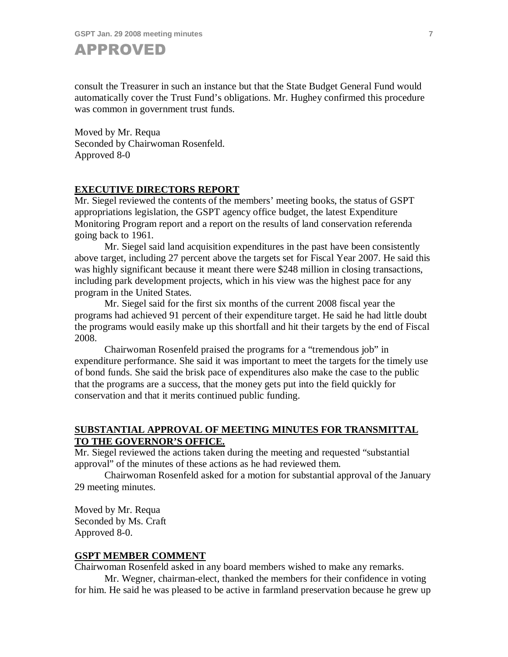**GSPT Jan. 29 2008 meeting minutes 7**



consult the Treasurer in such an instance but that the State Budget General Fund would automatically cover the Trust Fund's obligations. Mr. Hughey confirmed this procedure was common in government trust funds.

Moved by Mr. Requa Seconded by Chairwoman Rosenfeld. Approved 8-0

### **EXECUTIVE DIRECTORS REPORT**

Mr. Siegel reviewed the contents of the members' meeting books, the status of GSPT appropriations legislation, the GSPT agency office budget, the latest Expenditure Monitoring Program report and a report on the results of land conservation referenda going back to 1961.

Mr. Siegel said land acquisition expenditures in the past have been consistently above target, including 27 percent above the targets set for Fiscal Year 2007. He said this was highly significant because it meant there were \$248 million in closing transactions, including park development projects, which in his view was the highest pace for any program in the United States.

Mr. Siegel said for the first six months of the current 2008 fiscal year the programs had achieved 91 percent of their expenditure target. He said he had little doubt the programs would easily make up this shortfall and hit their targets by the end of Fiscal 2008.

Chairwoman Rosenfeld praised the programs for a "tremendous job" in expenditure performance. She said it was important to meet the targets for the timely use of bond funds. She said the brisk pace of expenditures also make the case to the public that the programs are a success, that the money gets put into the field quickly for conservation and that it merits continued public funding.

### **SUBSTANTIAL APPROVAL OF MEETING MINUTES FOR TRANSMITTAL TO THE GOVERNOR'S OFFICE.**

Mr. Siegel reviewed the actions taken during the meeting and requested "substantial approval" of the minutes of these actions as he had reviewed them.

Chairwoman Rosenfeld asked for a motion for substantial approval of the January 29 meeting minutes.

Moved by Mr. Requa Seconded by Ms. Craft Approved 8-0.

### **GSPT MEMBER COMMENT**

Chairwoman Rosenfeld asked in any board members wished to make any remarks.

Mr. Wegner, chairman-elect, thanked the members for their confidence in voting for him. He said he was pleased to be active in farmland preservation because he grew up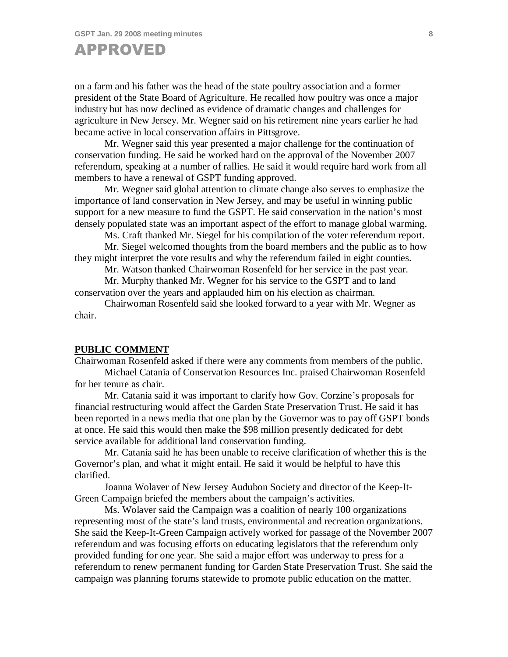# APPROVED

on a farm and his father was the head of the state poultry association and a former president of the State Board of Agriculture. He recalled how poultry was once a major industry but has now declined as evidence of dramatic changes and challenges for agriculture in New Jersey. Mr. Wegner said on his retirement nine years earlier he had became active in local conservation affairs in Pittsgrove.

Mr. Wegner said this year presented a major challenge for the continuation of conservation funding. He said he worked hard on the approval of the November 2007 referendum, speaking at a number of rallies. He said it would require hard work from all members to have a renewal of GSPT funding approved.

Mr. Wegner said global attention to climate change also serves to emphasize the importance of land conservation in New Jersey, and may be useful in winning public support for a new measure to fund the GSPT. He said conservation in the nation's most densely populated state was an important aspect of the effort to manage global warming.

Ms. Craft thanked Mr. Siegel for his compilation of the voter referendum report.

Mr. Siegel welcomed thoughts from the board members and the public as to how they might interpret the vote results and why the referendum failed in eight counties.

Mr. Watson thanked Chairwoman Rosenfeld for her service in the past year.

Mr. Murphy thanked Mr. Wegner for his service to the GSPT and to land conservation over the years and applauded him on his election as chairman.

Chairwoman Rosenfeld said she looked forward to a year with Mr. Wegner as chair.

#### **PUBLIC COMMENT**

Chairwoman Rosenfeld asked if there were any comments from members of the public.

Michael Catania of Conservation Resources Inc. praised Chairwoman Rosenfeld for her tenure as chair.

Mr. Catania said it was important to clarify how Gov. Corzine's proposals for financial restructuring would affect the Garden State Preservation Trust. He said it has been reported in a news media that one plan by the Governor was to pay off GSPT bonds at once. He said this would then make the \$98 million presently dedicated for debt service available for additional land conservation funding.

Mr. Catania said he has been unable to receive clarification of whether this is the Governor's plan, and what it might entail. He said it would be helpful to have this clarified.

Joanna Wolaver of New Jersey Audubon Society and director of the Keep-It-Green Campaign briefed the members about the campaign's activities.

Ms. Wolaver said the Campaign was a coalition of nearly 100 organizations representing most of the state's land trusts, environmental and recreation organizations. She said the Keep-It-Green Campaign actively worked for passage of the November 2007 referendum and was focusing efforts on educating legislators that the referendum only provided funding for one year. She said a major effort was underway to press for a referendum to renew permanent funding for Garden State Preservation Trust. She said the campaign was planning forums statewide to promote public education on the matter.